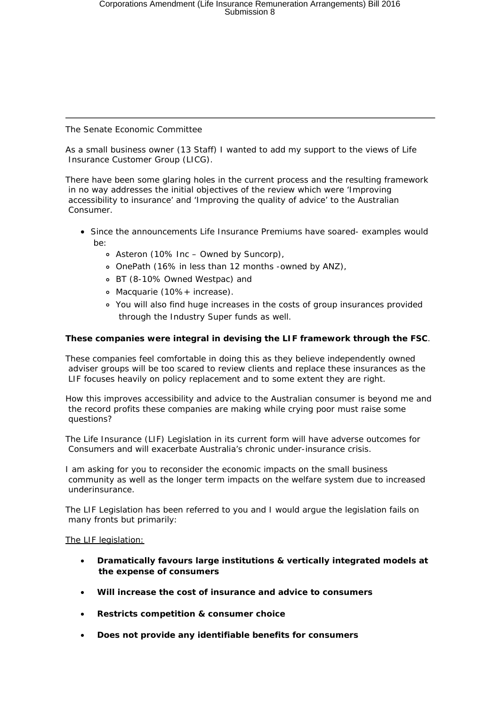## The Senate Economic Committee

As a small business owner (13 Staff) I wanted to add my support to the views of Life Insurance Customer Group (LICG).

There have been some glaring holes in the current process and the resulting framework in no way addresses the initial objectives of the review which were 'Improving accessibility to insurance' and 'Improving the quality of advice' to the Australian Consumer.

- Since the announcements Life Insurance Premiums have soared- examples would be:
	- Asteron (10% Inc Owned by Suncorp),
	- OnePath (16% in less than 12 months -owned by ANZ),
	- BT (8-10% Owned Westpac) and
	- Macquarie (10%+ increase).
	- You will also find huge increases in the costs of group insurances provided through the Industry Super funds as well.

## **These companies were integral in devising the LIF framework through the FSC**.

These companies feel comfortable in doing this as they believe independently owned adviser groups will be too scared to review clients and replace these insurances as the LIF focuses heavily on policy replacement and to some extent they are right.

How this improves accessibility and advice to the Australian consumer is beyond me and the record profits these companies are making while crying poor must raise some questions?

The Life Insurance (LIF) Legislation in its current form will have adverse outcomes for Consumers and will exacerbate Australia's chronic under-insurance crisis.

I am asking for you to reconsider the economic impacts on the small business community as well as the longer term impacts on the welfare system due to increased underinsurance.

The LIF Legislation has been referred to you and I would argue the legislation fails on many fronts but primarily:

The LIF legislation:

- · **Dramatically favours large institutions & vertically integrated models at the expense of consumers**
- · **Will increase the cost of insurance and advice to consumers**
- · **Restricts competition & consumer choice**
- · **Does not provide any identifiable benefits for consumers**